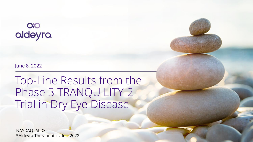# $\infty$ aldeyra

June 8, 2022

Top-Line Results from the Phase 3 TRANQUILITY-2 Trial in Dry Eye Disease

NASDAQ: ALDX ©Aldeyra Therapeutics, Inc. 2022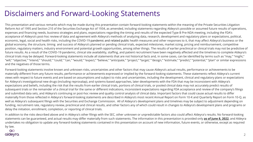## Disclaimers and Forward-Looking Statements

This presentation and various remarks which may be made during this presentation contain forward-looking statements within the meaning of the Private Securities Litigation Reform Act of 1995 and Section 21E of the Securities Exchange Act of 1934, as amended, including statements regarding Aldeyra's possible or assumed future results of operations, expenses and financing needs, business strategies and plans, expectations regarding the timing and results of the expected Type B Pre-NDA meeting, including the FDA's acceptance of Aldeyra's post-hoc review of data and agreement with Aldeyra's methods of analyzing data, research, development and regulatory plans or expectations, political, economic, legal, social and health risks, including the COVID-19 pandemic and related public health measures and other responses to it, that may affect Aldeyra's business or the global economy, the structure, timing and success of Aldeyra's planned or pending clinical trials, expected milestones, market sizing, pricing and reimbursement, competitive position, regulatory matters, industry environment and potential growth opportunities, among other things. The results of earlier preclinical or clinical trials may not be predictive of future results. As a result of the COVID-19 pandemic, clinical site availability, staffing, and patient recruitment have been negatively affected and the timelines to complete Aldeyra's clinical trials may be delayed. Forward-looking statements include all statements that are not historical facts and, in some cases, can be identified by terms such as "may," "might," "will," "objective," "intend," "should," "could," "can," "would," "expect," "believe," "anticipate," "project," "target," "design," "estimate," "predict," "potential," "plan" or similar expressions and the negatives of those terms.

Forward-looking statements involve known and unknown risks, uncertainties and other factors that may cause Aldeyra's actual results, performance or achievements to be materially different from any future results, performance or achievements expressed or implied by the forward-looking statements. These statements reflect Aldeyra's current views with respect to future events and are based on assumptions and subject to risks and uncertainties, including the development, clinical and regulatory plans or expectations for Aldeyra's investigational new drugs (including reproxalap), and systems-based approaches, later developments with the FDA that may be inconsistent with Aldeyra's expectations and beliefs, including the risk that the results from earlier clinical trials, portions of clinical trials, or pooled clinical data may not accurately predict results of subsequent trials or the remainder of a clinical trial for the same or different indications, inconsistent expectations regarding FDA acceptance and review of the company's filings and submitted data sets, and Aldeyra's continuing or post-hoc review and quality control analysis of clinical data. Important factors that could cause actual results to differ materially from those reflected in Aldeyra's forward-looking statements are described in Aldeyra's most recent Annual Report on Form 10-K and Quarterly Report on Form 10-Q, as well as Aldeyra's subsequent filings with the Securities and Exchange Commission. All of Aldeyra's development plans and timelines may be subject to adjustment depending on funding, recruitment rate, regulatory review, preclinical and clinical results, and other factors any of which could result in changes to Aldeyra's development plans and programs or delay the initiation, enrollment, completion, or reporting of clinical trials.

In addition to the risks described above and in Aldeyra's other filings with the SEC, other unknown or unpredictable factors also could affect Aldeyra's results. No forward-looking statements can be guaranteed, and actual results may differ materially from such statements. The information in this presentation is provided only **as of June 8, 2022**, and Aldeyra undertakes no obligation to update any forward-looking statements contained in this presentation on account of new information, future events, or otherwise, except as required by law.

#### $\infty$ aldeyra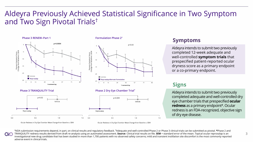## Aldeyra Previously Achieved Statistical Significance in Two Symptom and Two Sign Pivotal Trials†





#### **Formulation Phase 2\***



**Phase 3 TRANQUILITY Trial Phase 2 Dry Eye Chamber Trial\***



### **Symptoms**

Aldeyra intends to submit two previously completed 12-week adequate and well-controlled **symptom trials** that prespecified patient-reported ocular dryness score as a primary endpoint or a co-primary endpoint.

## **Signs**

Aldeyra intends to submit two previously completed adequate and well-controlled dry eye chamber trials that prespecified **ocular redness** as a primary endpoint#. Ocular redness is an FDA-recognized, objective sign of dry eye disease.

Ocular Redness in Dry Eye Chamber Mean Change from Baseline ± SEM

Ocular Redness in Dry Eye Chamber Mean Change from Baseline ± SEM

**†**NDA submission requirements depend, in part, on clinical results and regulatory feedback. **\***Adequate and well-controlled Phase 2 or Phase 3 clinical trials can be submitted as pivotal. **#**Phase 2 and TRANQUILITY redness results derived from draft re-analysis using an automated assessment. **Source**: Clinical trial results on file. **SEM** = standard error of the mean. Topical ocular reproxalap is an investigational new drug candidate that has been studied in more than 1,700 patients with no observed safety concerns; mild and transient instillation site discomfort is the most commonly reported adverse event in clinical trials.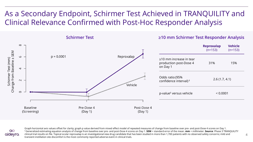## As a Secondary Endpoint, Schirmer Test Achieved in TRANQUILITY and Clinical Relevance Confirmed with Post-Hoc Responder Analysis





Graph horizontal axis values offset for clarity; graph p value derived from mixed effect model of repeated measures of change from baseline over pre- and post-Dose 4 scores on Day 1. ‡ Generalized estimating equation analysis of change from baseline over pre- and post-Dose 4 scores on Day 1. **SEM** = standard error of the mean. **mm** = millimeter. **Source**: Phase 3 TRANQUILITY clinical trial results on file. Topical ocular reproxalap is an investigational new drug candidate that has been studied in more than 1,700 patients with no observed safety concerns; mild and transient instillation site discomfort is the most commonly reported adverse event in clinical trials.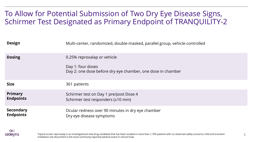## To Allow for Potential Submission of Two Dry Eye Disease Signs, Schirmer Test Designated as Primary Endpoint of TRANQUILITY-2

| <b>Design</b>                        | Multi-center, randomized, double-masked, parallel group, vehicle-controlled                                     |
|--------------------------------------|-----------------------------------------------------------------------------------------------------------------|
| <b>Dosing</b>                        | 0.25% reproxalap or vehicle<br>Day 1: four doses<br>Day 2: one dose before dry eye chamber, one dose in chamber |
| <b>Size</b>                          | 361 patients                                                                                                    |
| <b>Primary</b><br><b>Endpoints</b>   | Schirmer test on Day 1 pre/post Dose 4<br>Schirmer test responders (≥10 mm)                                     |
| <b>Secondary</b><br><b>Endpoints</b> | Ocular redness over 90 minutes in dry eye chamber<br>Dry eye disease symptoms                                   |

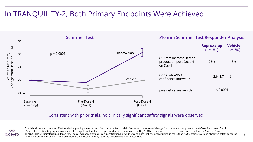## In TRANQUILITY-2, Both Primary Endpoints Were Achieved



### Consistent with prior trials, no clinically significant safety signals were observed.



Graph horizontal axis values offset for clarity; graph p value derived from mixed effect model of repeated measures of change from baseline over pre- and post-Dose 4 scores on Day 1. ‡ Generalized estimating equation analysis of change from baseline over pre- and post-Dose 4 scores on Day 1. **SEM** = standard error of the mean. **mm** = millimeter. **Source**: Phase 3 TRANQUILITY-2 clinical trial results on file. Topical ocular reproxalap is an investigational new drug candidate that has been studied in more than 1,700 patients with no observed safety concerns; mild and transient instillation site discomfort is the most commonly reported adverse event in clinical trials.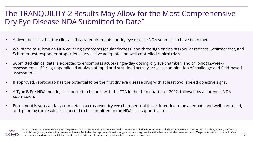## The TRANQUILITY-2 Results May Allow for the Most Comprehensive Dry Eye Disease NDA Submitted to Date†

- Aldeyra believes that the clinical efficacy requirements for dry eye disease NDA submission have been met.
- We intend to submit an NDA covering symptoms (ocular dryness) and three sign endpoints (ocular redness, Schirmer test, and Schirmer test responder proportions) across five adequate and well-controlled clinical trials.
- Submitted clinical data is expected to encompass acute (single-day dosing, dry eye chamber) and chronic (12-week) assessments, offering unparalleled analysis of rapid and sustained activity across a combination of challenge and field-based assessments.
- If approved, reproxalap has the potential to be the first dry eye disease drug with at least two labeled objective signs.
- A Type B Pre-NDA meeting is expected to be held with the FDA in the third quarter of 2022, followed by a potential NDA submission.
- Enrollment is substantially complete in a crossover dry eye chamber trial that is intended to be adequate and well-controlled, and, pending the results, is expected to be submitted to the NDA as a supportive trial.



**†**NDA submission requirements depend, in part, on clinical results and regulatory feedback. The NDA submission is expected to include a combination of prespecified, post-hoc, primary, secondary, multiplicity-adjusted, and nominal p-value endpoints. Topical ocular reproxalap is an investigational new drug candidate that has been studied in more than 1,700 patients with no observed safety concerns; mild and transient instillation site discomfort is the most commonly reported adverse event in clinical trials